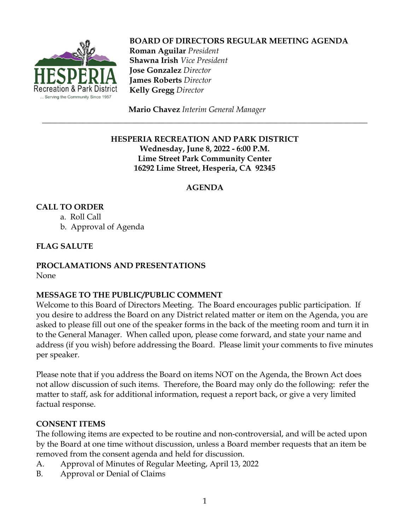

 **BOARD OF DIRECTORS REGULAR MEETING AGENDA Roman Aguilar** *President*  **Shawna Irish** *Vice President*  **Jose Gonzalez** *Director*  **James Roberts** *Director*  **Kelly Gregg** *Director*

**Mario Chavez** *Interim General Manager*

#### **HESPERIA RECREATION AND PARK DISTRICT Wednesday, June 8, 2022 - 6:00 P.M. Lime Street Park Community Center 16292 Lime Street, Hesperia, CA 92345**

\_\_\_\_\_\_\_\_\_\_\_\_\_\_\_\_\_\_\_\_\_\_\_\_\_\_\_\_\_\_\_\_\_\_\_\_\_\_\_\_\_\_\_\_\_\_\_\_\_\_\_\_\_\_\_\_\_\_\_\_\_\_\_\_\_\_\_\_\_\_\_\_\_\_\_\_\_\_\_\_\_

# **AGENDA**

# **CALL TO ORDER**

a. Roll Call b. Approval of Agenda

# **FLAG SALUTE**

# **PROCLAMATIONS AND PRESENTATIONS**

None

## **MESSAGE TO THE PUBLIC/PUBLIC COMMENT**

Welcome to this Board of Directors Meeting. The Board encourages public participation. If you desire to address the Board on any District related matter or item on the Agenda, you are asked to please fill out one of the speaker forms in the back of the meeting room and turn it in to the General Manager. When called upon, please come forward, and state your name and address (if you wish) before addressing the Board. Please limit your comments to five minutes per speaker.

Please note that if you address the Board on items NOT on the Agenda, the Brown Act does not allow discussion of such items. Therefore, the Board may only do the following: refer the matter to staff, ask for additional information, request a report back, or give a very limited factual response.

## **CONSENT ITEMS**

The following items are expected to be routine and non-controversial, and will be acted upon by the Board at one time without discussion, unless a Board member requests that an item be removed from the consent agenda and held for discussion.

- A. Approval of Minutes of Regular Meeting, April 13, 2022
- B. Approval or Denial of Claims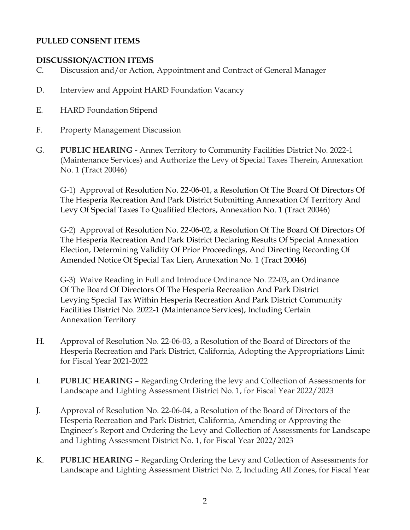## **PULLED CONSENT ITEMS**

#### **DISCUSSION/ACTION ITEMS**

- C. Discussion and/or Action, Appointment and Contract of General Manager
- D. Interview and Appoint HARD Foundation Vacancy
- E. HARD Foundation Stipend
- F. Property Management Discussion
- G. **PUBLIC HEARING -** Annex Territory to Community Facilities District No. 2022-1 (Maintenance Services) and Authorize the Levy of Special Taxes Therein, Annexation No. 1 (Tract 20046)

G-1) Approval of Resolution No. 22-06-01, a Resolution Of The Board Of Directors Of The Hesperia Recreation And Park District Submitting Annexation Of Territory And Levy Of Special Taxes To Qualified Electors, Annexation No. 1 (Tract 20046)

G-2) Approval of Resolution No. 22-06-02, a Resolution Of The Board Of Directors Of The Hesperia Recreation And Park District Declaring Results Of Special Annexation Election, Determining Validity Of Prior Proceedings, And Directing Recording Of Amended Notice Of Special Tax Lien, Annexation No. 1 (Tract 20046)

G-3) Waive Reading in Full and Introduce Ordinance No. 22-03**,** an Ordinance Of The Board Of Directors Of The Hesperia Recreation And Park District Levying Special Tax Within Hesperia Recreation And Park District Community Facilities District No. 2022-1 (Maintenance Services), Including Certain Annexation Territory

- H. Approval of Resolution No. 22-06-03, a Resolution of the Board of Directors of the Hesperia Recreation and Park District, California, Adopting the Appropriations Limit for Fiscal Year 2021-2022
- I. **PUBLIC HEARING** Regarding Ordering the levy and Collection of Assessments for Landscape and Lighting Assessment District No. 1, for Fiscal Year 2022/2023
- J. Approval of Resolution No. 22-06-04, a Resolution of the Board of Directors of the Hesperia Recreation and Park District, California, Amending or Approving the Engineer's Report and Ordering the Levy and Collection of Assessments for Landscape and Lighting Assessment District No. 1, for Fiscal Year 2022/2023
- K. **PUBLIC HEARING** Regarding Ordering the Levy and Collection of Assessments for Landscape and Lighting Assessment District No. 2, Including All Zones, for Fiscal Year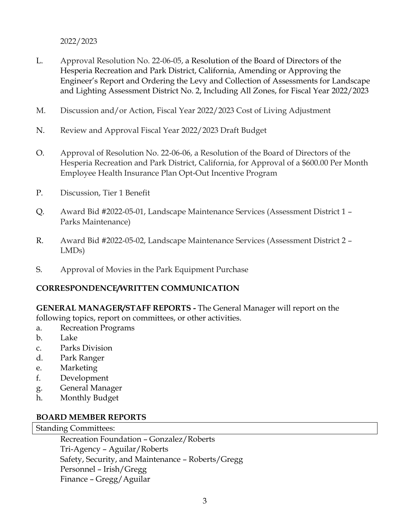2022/2023

- L. Approval Resolution No. 22-06-05, a Resolution of the Board of Directors of the Hesperia Recreation and Park District, California, Amending or Approving the Engineer's Report and Ordering the Levy and Collection of Assessments for Landscape and Lighting Assessment District No. 2, Including All Zones, for Fiscal Year 2022/2023
- M. Discussion and/or Action, Fiscal Year 2022/2023 Cost of Living Adjustment
- N. Review and Approval Fiscal Year 2022/2023 Draft Budget
- O. Approval of Resolution No. 22-06-06, a Resolution of the Board of Directors of the Hesperia Recreation and Park District, California, for Approval of a \$600.00 Per Month Employee Health Insurance Plan Opt-Out Incentive Program
- P. Discussion, Tier 1 Benefit
- Q. Award Bid #2022-05-01, Landscape Maintenance Services (Assessment District 1 Parks Maintenance)
- R. Award Bid #2022-05-02, Landscape Maintenance Services (Assessment District 2 LMDs)
- S. Approval of Movies in the Park Equipment Purchase

## **CORRESPONDENCE/WRITTEN COMMUNICATION**

**GENERAL MANAGER/STAFF REPORTS -** The General Manager will report on the following topics, report on committees, or other activities.

- a. Recreation Programs
- b. Lake
- c. Parks Division
- d. Park Ranger
- e. Marketing
- f. Development
- g. General Manager
- h. Monthly Budget

#### **BOARD MEMBER REPORTS**

#### Standing Committees:

Recreation Foundation – Gonzalez/Roberts Tri-Agency – Aguilar/Roberts Safety, Security, and Maintenance – Roberts/Gregg Personnel – Irish/Gregg Finance – Gregg/Aguilar